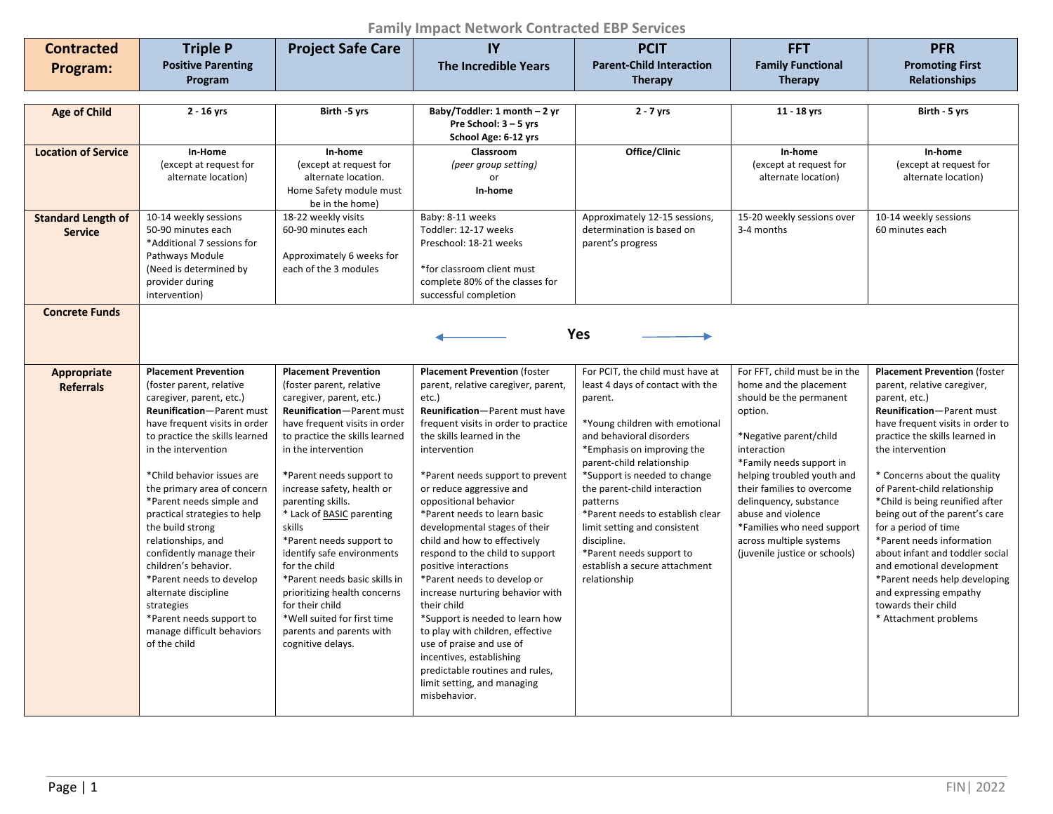## **Family Impact Network Contracted EBP Services**

| <b>Contracted</b>          | <b>Triple P</b>                                            | <b>Project Safe Care</b>                                   | IY                                                                     | <b>PCIT</b>                                  | <b>FFT</b>                                   | <b>PFR</b>                                                        |
|----------------------------|------------------------------------------------------------|------------------------------------------------------------|------------------------------------------------------------------------|----------------------------------------------|----------------------------------------------|-------------------------------------------------------------------|
| Program:                   | <b>Positive Parenting</b>                                  |                                                            | <b>The Incredible Years</b>                                            | <b>Parent-Child Interaction</b>              | <b>Family Functional</b>                     | <b>Promoting First</b>                                            |
|                            | Program                                                    |                                                            |                                                                        | <b>Therapy</b>                               | <b>Therapy</b>                               | <b>Relationships</b>                                              |
|                            |                                                            |                                                            |                                                                        |                                              |                                              |                                                                   |
| <b>Age of Child</b>        | $2 - 16$ yrs                                               | Birth -5 yrs                                               | Baby/Toddler: 1 month - 2 yr                                           | $2 - 7$ yrs                                  | 11 - 18 yrs                                  | Birth - 5 yrs                                                     |
|                            |                                                            |                                                            | Pre School: 3 - 5 yrs                                                  |                                              |                                              |                                                                   |
|                            |                                                            |                                                            | School Age: 6-12 yrs                                                   |                                              |                                              |                                                                   |
| <b>Location of Service</b> | In-Home<br>(except at request for                          | In-home<br>(except at request for                          | Classroom<br>(peer group setting)                                      | Office/Clinic                                | In-home<br>(except at request for            | In-home<br>(except at request for                                 |
|                            | alternate location)                                        | alternate location.                                        | or                                                                     |                                              | alternate location)                          | alternate location)                                               |
|                            |                                                            | Home Safety module must                                    | In-home                                                                |                                              |                                              |                                                                   |
|                            |                                                            | be in the home)                                            |                                                                        |                                              |                                              |                                                                   |
| <b>Standard Length of</b>  | 10-14 weekly sessions                                      | 18-22 weekly visits                                        | Baby: 8-11 weeks                                                       | Approximately 12-15 sessions,                | 15-20 weekly sessions over                   | 10-14 weekly sessions                                             |
| <b>Service</b>             | 50-90 minutes each                                         | 60-90 minutes each                                         | Toddler: 12-17 weeks                                                   | determination is based on                    | 3-4 months                                   | 60 minutes each                                                   |
|                            | *Additional 7 sessions for<br>Pathways Module              | Approximately 6 weeks for                                  | Preschool: 18-21 weeks                                                 | parent's progress                            |                                              |                                                                   |
|                            | (Need is determined by                                     | each of the 3 modules                                      | *for classroom client must                                             |                                              |                                              |                                                                   |
|                            | provider during                                            |                                                            | complete 80% of the classes for                                        |                                              |                                              |                                                                   |
|                            | intervention)                                              |                                                            | successful completion                                                  |                                              |                                              |                                                                   |
| <b>Concrete Funds</b>      |                                                            |                                                            |                                                                        |                                              |                                              |                                                                   |
|                            |                                                            |                                                            |                                                                        | Yes                                          |                                              |                                                                   |
|                            |                                                            |                                                            |                                                                        |                                              |                                              |                                                                   |
|                            |                                                            |                                                            |                                                                        |                                              |                                              |                                                                   |
| Appropriate                | <b>Placement Prevention</b>                                | <b>Placement Prevention</b>                                | <b>Placement Prevention (foster</b>                                    | For PCIT, the child must have at             | For FFT, child must be in the                | <b>Placement Prevention (foster</b>                               |
| <b>Referrals</b>           | (foster parent, relative                                   | (foster parent, relative                                   | parent, relative caregiver, parent,                                    | least 4 days of contact with the             | home and the placement                       | parent, relative caregiver,                                       |
|                            | caregiver, parent, etc.)                                   | caregiver, parent, etc.)                                   | etc.)                                                                  | parent.                                      | should be the permanent                      | parent, etc.)                                                     |
|                            | Reunification-Parent must<br>have frequent visits in order | Reunification-Parent must<br>have frequent visits in order | Reunification-Parent must have<br>frequent visits in order to practice | *Young children with emotional               | option.                                      | Reunification-Parent must<br>have frequent visits in order to     |
|                            | to practice the skills learned                             | to practice the skills learned                             | the skills learned in the                                              | and behavioral disorders                     | *Negative parent/child                       | practice the skills learned in                                    |
|                            | in the intervention                                        | in the intervention                                        | intervention                                                           | *Emphasis on improving the                   | interaction                                  | the intervention                                                  |
|                            |                                                            |                                                            |                                                                        | parent-child relationship                    | *Family needs support in                     |                                                                   |
|                            | *Child behavior issues are                                 | *Parent needs support to                                   | *Parent needs support to prevent                                       | *Support is needed to change                 | helping troubled youth and                   | * Concerns about the quality                                      |
|                            | the primary area of concern                                | increase safety, health or                                 | or reduce aggressive and                                               | the parent-child interaction                 | their families to overcome                   | of Parent-child relationship                                      |
|                            | *Parent needs simple and<br>practical strategies to help   | parenting skills.<br>* Lack of BASIC parenting             | oppositional behavior<br>*Parent needs to learn basic                  | patterns<br>*Parent needs to establish clear | delinquency, substance<br>abuse and violence | *Child is being reunified after<br>being out of the parent's care |
|                            | the build strong                                           | skills                                                     | developmental stages of their                                          | limit setting and consistent                 | *Families who need support                   | for a period of time                                              |
|                            | relationships, and                                         | *Parent needs support to                                   | child and how to effectively                                           | discipline.                                  | across multiple systems                      | *Parent needs information                                         |
|                            | confidently manage their                                   | identify safe environments                                 | respond to the child to support                                        | *Parent needs support to                     | (juvenile justice or schools)                | about infant and toddler social                                   |
|                            | children's behavior.                                       | for the child                                              | positive interactions                                                  | establish a secure attachment                |                                              | and emotional development                                         |
|                            | *Parent needs to develop                                   | *Parent needs basic skills in                              | *Parent needs to develop or                                            | relationship                                 |                                              | *Parent needs help developing                                     |
|                            | alternate discipline                                       | prioritizing health concerns<br>for their child            | increase nurturing behavior with<br>their child                        |                                              |                                              | and expressing empathy<br>towards their child                     |
|                            | strategies<br>*Parent needs support to                     | *Well suited for first time                                | *Support is needed to learn how                                        |                                              |                                              | * Attachment problems                                             |
|                            | manage difficult behaviors                                 | parents and parents with                                   | to play with children, effective                                       |                                              |                                              |                                                                   |
|                            | of the child                                               | cognitive delays.                                          | use of praise and use of                                               |                                              |                                              |                                                                   |
|                            |                                                            |                                                            | incentives, establishing                                               |                                              |                                              |                                                                   |
|                            |                                                            |                                                            | predictable routines and rules,                                        |                                              |                                              |                                                                   |
|                            |                                                            |                                                            | limit setting, and managing                                            |                                              |                                              |                                                                   |
|                            |                                                            |                                                            | misbehavior.                                                           |                                              |                                              |                                                                   |
|                            |                                                            |                                                            |                                                                        |                                              |                                              |                                                                   |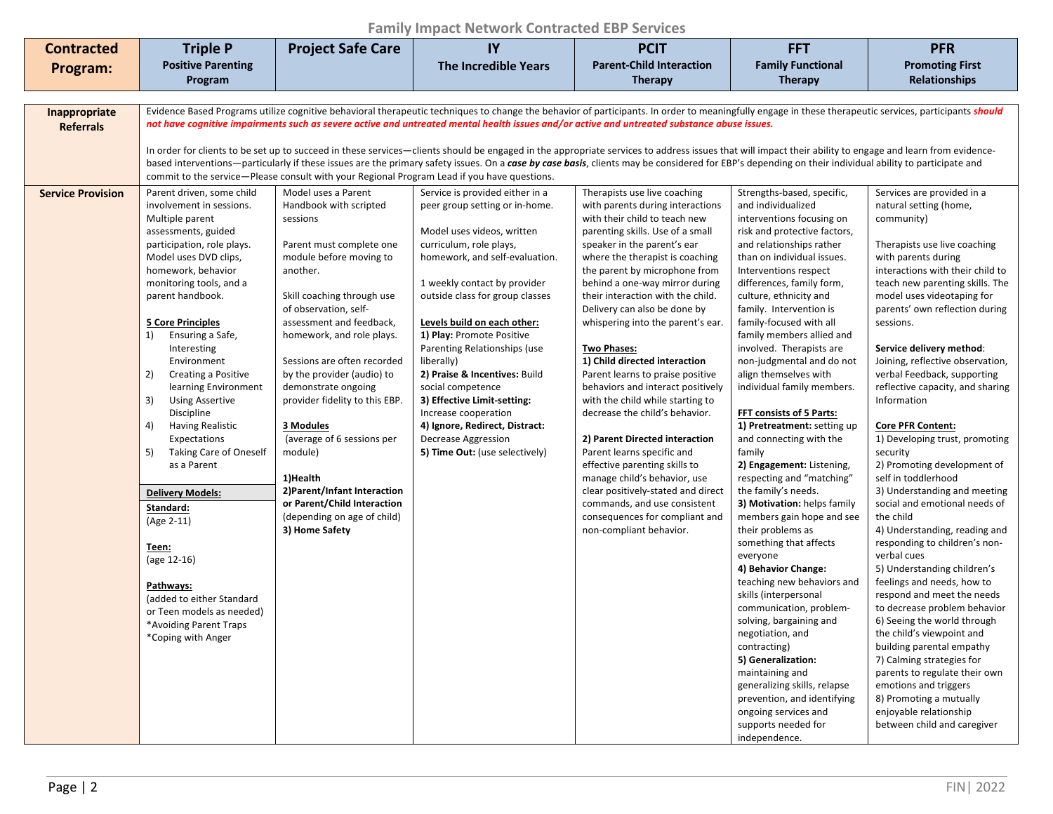## **Family Impact Network Contracted EBP Services**

| <b>Contracted</b>                 | <b>Triple P</b>                                                                                                                                                                                                                                                                                                                                                                                                                                                                                                                                                                                                                                                                                                                       | <b>Project Safe Care</b>                                                                                                                                                                                                                                                                                                                                                                                                                                                                                                                             | IY                                                                                                                                                                                                                                                                                                                                                                                                                                                                                                                                                | <b>PCIT</b>                                                                                                                                                                                                                                                                                                                                                                                                                                                                                                                                                                                                                                                                                                                                                                                                                                                    | <b>FFT</b>                                                                                                                                                                                                                                                                                                                                                                                                                                                                                                                                                                                                                                                                                                                                                                                                                                                                                                                                                                                                                                                                                                         | <b>PFR</b>                                                                                                                                                                                                                                                                                                                                                                                                                                                                                                                                                                                                                                                                                                                                                                                                                                                                                                                                                                                                                                                                                                                    |  |
|-----------------------------------|---------------------------------------------------------------------------------------------------------------------------------------------------------------------------------------------------------------------------------------------------------------------------------------------------------------------------------------------------------------------------------------------------------------------------------------------------------------------------------------------------------------------------------------------------------------------------------------------------------------------------------------------------------------------------------------------------------------------------------------|------------------------------------------------------------------------------------------------------------------------------------------------------------------------------------------------------------------------------------------------------------------------------------------------------------------------------------------------------------------------------------------------------------------------------------------------------------------------------------------------------------------------------------------------------|---------------------------------------------------------------------------------------------------------------------------------------------------------------------------------------------------------------------------------------------------------------------------------------------------------------------------------------------------------------------------------------------------------------------------------------------------------------------------------------------------------------------------------------------------|----------------------------------------------------------------------------------------------------------------------------------------------------------------------------------------------------------------------------------------------------------------------------------------------------------------------------------------------------------------------------------------------------------------------------------------------------------------------------------------------------------------------------------------------------------------------------------------------------------------------------------------------------------------------------------------------------------------------------------------------------------------------------------------------------------------------------------------------------------------|--------------------------------------------------------------------------------------------------------------------------------------------------------------------------------------------------------------------------------------------------------------------------------------------------------------------------------------------------------------------------------------------------------------------------------------------------------------------------------------------------------------------------------------------------------------------------------------------------------------------------------------------------------------------------------------------------------------------------------------------------------------------------------------------------------------------------------------------------------------------------------------------------------------------------------------------------------------------------------------------------------------------------------------------------------------------------------------------------------------------|-------------------------------------------------------------------------------------------------------------------------------------------------------------------------------------------------------------------------------------------------------------------------------------------------------------------------------------------------------------------------------------------------------------------------------------------------------------------------------------------------------------------------------------------------------------------------------------------------------------------------------------------------------------------------------------------------------------------------------------------------------------------------------------------------------------------------------------------------------------------------------------------------------------------------------------------------------------------------------------------------------------------------------------------------------------------------------------------------------------------------------|--|
| Program:                          | <b>Positive Parenting</b>                                                                                                                                                                                                                                                                                                                                                                                                                                                                                                                                                                                                                                                                                                             |                                                                                                                                                                                                                                                                                                                                                                                                                                                                                                                                                      | <b>The Incredible Years</b>                                                                                                                                                                                                                                                                                                                                                                                                                                                                                                                       | <b>Parent-Child Interaction</b>                                                                                                                                                                                                                                                                                                                                                                                                                                                                                                                                                                                                                                                                                                                                                                                                                                | <b>Family Functional</b>                                                                                                                                                                                                                                                                                                                                                                                                                                                                                                                                                                                                                                                                                                                                                                                                                                                                                                                                                                                                                                                                                           | <b>Promoting First</b>                                                                                                                                                                                                                                                                                                                                                                                                                                                                                                                                                                                                                                                                                                                                                                                                                                                                                                                                                                                                                                                                                                        |  |
|                                   | Program                                                                                                                                                                                                                                                                                                                                                                                                                                                                                                                                                                                                                                                                                                                               |                                                                                                                                                                                                                                                                                                                                                                                                                                                                                                                                                      |                                                                                                                                                                                                                                                                                                                                                                                                                                                                                                                                                   | <b>Therapy</b>                                                                                                                                                                                                                                                                                                                                                                                                                                                                                                                                                                                                                                                                                                                                                                                                                                                 | <b>Therapy</b>                                                                                                                                                                                                                                                                                                                                                                                                                                                                                                                                                                                                                                                                                                                                                                                                                                                                                                                                                                                                                                                                                                     | <b>Relationships</b>                                                                                                                                                                                                                                                                                                                                                                                                                                                                                                                                                                                                                                                                                                                                                                                                                                                                                                                                                                                                                                                                                                          |  |
|                                   |                                                                                                                                                                                                                                                                                                                                                                                                                                                                                                                                                                                                                                                                                                                                       |                                                                                                                                                                                                                                                                                                                                                                                                                                                                                                                                                      |                                                                                                                                                                                                                                                                                                                                                                                                                                                                                                                                                   |                                                                                                                                                                                                                                                                                                                                                                                                                                                                                                                                                                                                                                                                                                                                                                                                                                                                |                                                                                                                                                                                                                                                                                                                                                                                                                                                                                                                                                                                                                                                                                                                                                                                                                                                                                                                                                                                                                                                                                                                    |                                                                                                                                                                                                                                                                                                                                                                                                                                                                                                                                                                                                                                                                                                                                                                                                                                                                                                                                                                                                                                                                                                                               |  |
| Inappropriate<br><b>Referrals</b> | Evidence Based Programs utilize cognitive behavioral therapeutic techniques to change the behavior of participants. In order to meaningfully engage in these therapeutic services, participants should<br>not have cognitive impairments such as severe active and untreated mental health issues and/or active and untreated substance abuse issues.<br>In order for clients to be set up to succeed in these services—clients should be engaged in the appropriate services to address issues that will impact their ability to engage and learn from evidence-                                                                                                                                                                     |                                                                                                                                                                                                                                                                                                                                                                                                                                                                                                                                                      |                                                                                                                                                                                                                                                                                                                                                                                                                                                                                                                                                   |                                                                                                                                                                                                                                                                                                                                                                                                                                                                                                                                                                                                                                                                                                                                                                                                                                                                |                                                                                                                                                                                                                                                                                                                                                                                                                                                                                                                                                                                                                                                                                                                                                                                                                                                                                                                                                                                                                                                                                                                    |                                                                                                                                                                                                                                                                                                                                                                                                                                                                                                                                                                                                                                                                                                                                                                                                                                                                                                                                                                                                                                                                                                                               |  |
|                                   | based interventions—particularly if these issues are the primary safety issues. On a case by case basis, clients may be considered for EBP's depending on their individual ability to participate and<br>commit to the service-Please consult with your Regional Program Lead if you have questions.                                                                                                                                                                                                                                                                                                                                                                                                                                  |                                                                                                                                                                                                                                                                                                                                                                                                                                                                                                                                                      |                                                                                                                                                                                                                                                                                                                                                                                                                                                                                                                                                   |                                                                                                                                                                                                                                                                                                                                                                                                                                                                                                                                                                                                                                                                                                                                                                                                                                                                |                                                                                                                                                                                                                                                                                                                                                                                                                                                                                                                                                                                                                                                                                                                                                                                                                                                                                                                                                                                                                                                                                                                    |                                                                                                                                                                                                                                                                                                                                                                                                                                                                                                                                                                                                                                                                                                                                                                                                                                                                                                                                                                                                                                                                                                                               |  |
| <b>Service Provision</b>          | Parent driven, some child<br>involvement in sessions.<br>Multiple parent<br>assessments, guided<br>participation, role plays.<br>Model uses DVD clips,<br>homework, behavior<br>monitoring tools, and a<br>parent handbook.<br><b>5 Core Principles</b><br>Ensuring a Safe,<br>1)<br>Interesting<br>Environment<br>2)<br>Creating a Positive<br>learning Environment<br>3)<br><b>Using Assertive</b><br>Discipline<br>4)<br><b>Having Realistic</b><br>Expectations<br><b>Taking Care of Oneself</b><br>5)<br>as a Parent<br><b>Delivery Models:</b><br>Standard:<br>(Age 2-11)<br><u>Teen:</u><br>(age 12-16)<br>Pathways:<br>(added to either Standard<br>or Teen models as needed)<br>*Avoiding Parent Traps<br>*Coping with Anger | Model uses a Parent<br>Handbook with scripted<br>sessions<br>Parent must complete one<br>module before moving to<br>another.<br>Skill coaching through use<br>of observation, self-<br>assessment and feedback,<br>homework, and role plays.<br>Sessions are often recorded<br>by the provider (audio) to<br>demonstrate ongoing<br>provider fidelity to this EBP.<br>3 Modules<br>(average of 6 sessions per<br>module)<br>1)Health<br>2) Parent/Infant Interaction<br>or Parent/Child Interaction<br>(depending on age of child)<br>3) Home Safety | Service is provided either in a<br>peer group setting or in-home.<br>Model uses videos, written<br>curriculum, role plays,<br>homework, and self-evaluation.<br>1 weekly contact by provider<br>outside class for group classes<br>Levels build on each other:<br>1) Play: Promote Positive<br>Parenting Relationships (use<br>liberally)<br>2) Praise & Incentives: Build<br>social competence<br>3) Effective Limit-setting:<br>Increase cooperation<br>4) Ignore, Redirect, Distract:<br>Decrease Aggression<br>5) Time Out: (use selectively) | Therapists use live coaching<br>with parents during interactions<br>with their child to teach new<br>parenting skills. Use of a small<br>speaker in the parent's ear<br>where the therapist is coaching<br>the parent by microphone from<br>behind a one-way mirror during<br>their interaction with the child.<br>Delivery can also be done by<br>whispering into the parent's ear.<br><b>Two Phases:</b><br>1) Child directed interaction<br>Parent learns to praise positive<br>behaviors and interact positively<br>with the child while starting to<br>decrease the child's behavior.<br>2) Parent Directed interaction<br>Parent learns specific and<br>effective parenting skills to<br>manage child's behavior, use<br>clear positively-stated and direct<br>commands, and use consistent<br>consequences for compliant and<br>non-compliant behavior. | Strengths-based, specific,<br>and individualized<br>interventions focusing on<br>risk and protective factors,<br>and relationships rather<br>than on individual issues.<br>Interventions respect<br>differences, family form,<br>culture, ethnicity and<br>family. Intervention is<br>family-focused with all<br>family members allied and<br>involved. Therapists are<br>non-judgmental and do not<br>align themselves with<br>individual family members.<br>FFT consists of 5 Parts:<br>1) Pretreatment: setting up<br>and connecting with the<br>family<br>2) Engagement: Listening,<br>respecting and "matching"<br>the family's needs.<br>3) Motivation: helps family<br>members gain hope and see<br>their problems as<br>something that affects<br>everyone<br>4) Behavior Change:<br>teaching new behaviors and<br>skills (interpersonal<br>communication, problem-<br>solving, bargaining and<br>negotiation, and<br>contracting)<br>5) Generalization:<br>maintaining and<br>generalizing skills, relapse<br>prevention, and identifying<br>ongoing services and<br>supports needed for<br>independence. | Services are provided in a<br>natural setting (home,<br>community)<br>Therapists use live coaching<br>with parents during<br>interactions with their child to<br>teach new parenting skills. The<br>model uses videotaping for<br>parents' own reflection during<br>sessions.<br>Service delivery method:<br>Joining, reflective observation,<br>verbal Feedback, supporting<br>reflective capacity, and sharing<br>Information<br><b>Core PFR Content:</b><br>1) Developing trust, promoting<br>security<br>2) Promoting development of<br>self in toddlerhood<br>3) Understanding and meeting<br>social and emotional needs of<br>the child<br>4) Understanding, reading and<br>responding to children's non-<br>verbal cues<br>5) Understanding children's<br>feelings and needs, how to<br>respond and meet the needs<br>to decrease problem behavior<br>6) Seeing the world through<br>the child's viewpoint and<br>building parental empathy<br>7) Calming strategies for<br>parents to regulate their own<br>emotions and triggers<br>8) Promoting a mutually<br>enjoyable relationship<br>between child and caregiver |  |